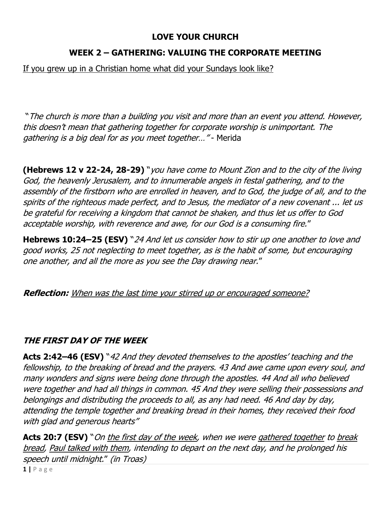#### **LOVE YOUR CHURCH**

## **WEEK 2 – GATHERING: VALUING THE CORPORATE MEETING**

If you grew up in a Christian home what did your Sundays look like?

"The church is more than a building you visit and more than an event you attend. However, this doesn't mean that gathering together for corporate worship is unimportant. The gathering is a big deal for as you meet together…" - Merida

**(Hebrews 12 v 22-24, 28-29)** "you have come to Mount Zion and to the city of the living God, the heavenly Jerusalem, and to innumerable angels in festal gathering, and to the assembly of the firstborn who are enrolled in heaven, and to God, the judge of all, and to the spirits of the righteous made perfect, and to Jesus, the mediator of a new covenant ... let us be grateful for receiving a kingdom that cannot be shaken, and thus let us offer to God acceptable worship, with reverence and awe, for our God is a consuming fire."

**Hebrews 10:24–25 (ESV)** "24 And let us consider how to stir up one another to love and good works, 25 not neglecting to meet together, as is the habit of some, but encouraging one another, and all the more as you see the Day drawing near."

**Reflection:** When was the last time your stirred up or encouraged someone?

# **THE FIRST DAY OF THE WEEK**

**Acts 2:42–46 (ESV)** "42 And they devoted themselves to the apostles' teaching and the fellowship, to the breaking of bread and the prayers. 43 And awe came upon every soul, and many wonders and signs were being done through the apostles. 44 And all who believed were together and had all things in common. 45 And they were selling their possessions and belongings and distributing the proceeds to all, as any had need. 46 And day by day, attending the temple together and breaking bread in their homes, they received their food with glad and generous hearts"

Acts 20:7 (ESV) "On the first day of the week, when we were gathered together to break bread, Paul talked with them, intending to depart on the next day, and he prolonged his speech until midnight." (in Troas)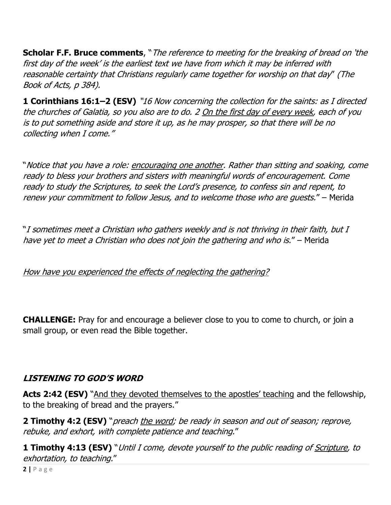**Scholar F.F. Bruce comments**, "The reference to meeting for the breaking of bread on 'the first day of the week' is the earliest text we have from which it may be inferred with reasonable certainty that Christians regularly came together for worship on that day" (The Book of Acts, p 384).

**1 Corinthians 16:1–2 (ESV)** "16 Now concerning the collection for the saints: as I directed the churches of Galatia, so you also are to do. 2 On the first day of every week, each of you is to put something aside and store it up, as he may prosper, so that there will be no collecting when I come."

"Notice that you have a role: encouraging one another. Rather than sitting and soaking, come ready to bless your brothers and sisters with meaningful words of encouragement. Come ready to study the Scriptures, to seek the Lord's presence, to confess sin and repent, to renew your commitment to follow Jesus, and to welcome those who are guests." – Merida

"I sometimes meet a Christian who gathers weekly and is not thriving in their faith, but I have yet to meet a Christian who does not join the gathering and who is." – Merida

#### How have you experienced the effects of neglecting the gathering?

**CHALLENGE:** Pray for and encourage a believer close to you to come to church, or join a small group, or even read the Bible together.

## **LISTENING TO GOD'S WORD**

Acts 2:42 (ESV) "And they devoted themselves to the apostles' teaching and the fellowship, to the breaking of bread and the prayers."

**2 Timothy 4:2 (ESV)** "preach the word; be ready in season and out of season; reprove, rebuke, and exhort, with complete patience and teaching."

**1 Timothy 4:13 (ESV)** "Until I come, devote yourself to the public reading of Scripture, to exhortation, to teaching."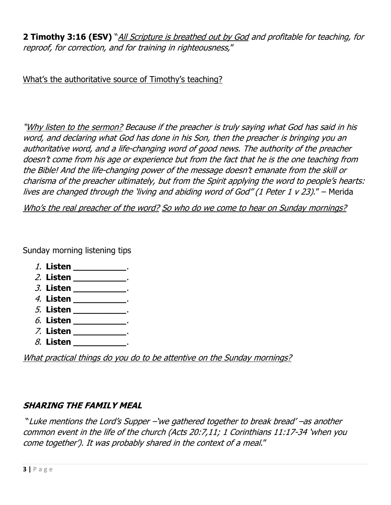**2 Timothy 3:16 (ESV)** "All Scripture is breathed out by God and profitable for teaching, for reproof, for correction, and for training in righteousness,"

What's the authoritative source of Timothy's teaching?

"Why listen to the sermon? Because if the preacher is truly saying what God has said in his word, and declaring what God has done in his Son, then the preacher is bringing you an authoritative word, and a life-changing word of good news. The authority of the preacher doesn't come from his age or experience but from the fact that he is the one teaching from the Bible! And the life-changing power of the message doesn't emanate from the skill or charisma of the preacher ultimately, but from the Spirit applying the word to people's hearts: lives are changed through the 'living and abiding word of God" (1 Peter 1 v 23)." - Merida

Who's the real preacher of the word? So who do we come to hear on Sunday mornings?

Sunday morning listening tips

- 1. **Listen \_\_\_\_\_\_\_\_\_\_**.
- 2. **Listen \_\_\_\_\_\_\_\_\_\_**.
- 3. **Listen \_\_\_\_\_\_\_\_\_\_**.
- 4. **Listen \_\_\_\_\_\_\_\_\_\_**.
- 5. **Listen \_\_\_\_\_\_\_\_\_\_**.
- 6. **Listen \_\_\_\_\_\_\_\_\_\_**.
- 7. **Listen \_\_\_\_\_\_\_\_\_\_**.
- 8. **Listen \_\_\_\_\_\_\_\_\_\_**.

What practical things do you do to be attentive on the Sunday mornings?

## **SHARING THE FAMILY MEAL**

"Luke mentions the Lord's Supper –'we gathered together to break bread' –as another common event in the life of the church (Acts 20:7,11; 1 Corinthians 11:17-34 'when you come together'). It was probably shared in the context of a meal."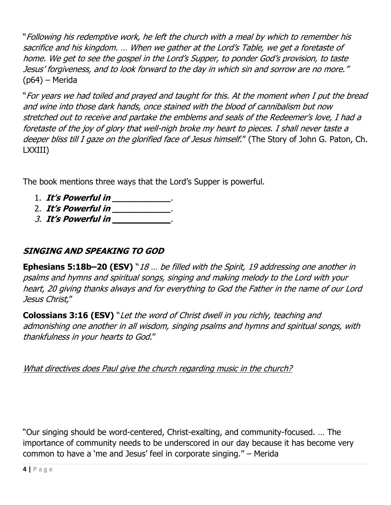"Following his redemptive work, he left the church with a meal by which to remember his sacrifice and his kingdom. … When we gather at the Lord's Table, we get a foretaste of home. We get to see the gospel in the Lord's Supper, to ponder God's provision, to taste Jesus' forgiveness, and to look forward to the day in which sin and sorrow are no more." (p64) – Merida

"For years we had toiled and prayed and taught for this. At the moment when I put the bread and wine into those dark hands, once stained with the blood of cannibalism but now stretched out to receive and partake the emblems and seals of the Redeemer's love, I had a foretaste of the joy of glory that well-nigh broke my heart to pieces. I shall never taste a deeper bliss till I gaze on the glorified face of Jesus himself." (The Story of John G. Paton, Ch. LXXIII)

The book mentions three ways that the Lord's Supper is powerful.

- 1. **It's Powerful in \_\_\_\_\_\_\_\_\_\_\_**.
- 2. **It's Powerful in \_\_\_\_\_\_\_\_\_\_\_**.
- 3. **It's Powerful in \_\_\_\_\_\_\_\_\_\_\_**.

## **SINGING AND SPEAKING TO GOD**

**Ephesians 5:18b–20 (ESV)** "18 … be filled with the Spirit, 19 addressing one another in psalms and hymns and spiritual songs, singing and making melody to the Lord with your heart, 20 giving thanks always and for everything to God the Father in the name of our Lord Jesus Christ,"

**Colossians 3:16 (ESV)** "Let the word of Christ dwell in you richly, teaching and admonishing one another in all wisdom, singing psalms and hymns and spiritual songs, with thankfulness in your hearts to God."

What directives does Paul give the church regarding music in the church?

"Our singing should be word-centered, Christ-exalting, and community-focused. … The importance of community needs to be underscored in our day because it has become very common to have a 'me and Jesus' feel in corporate singing." – Merida